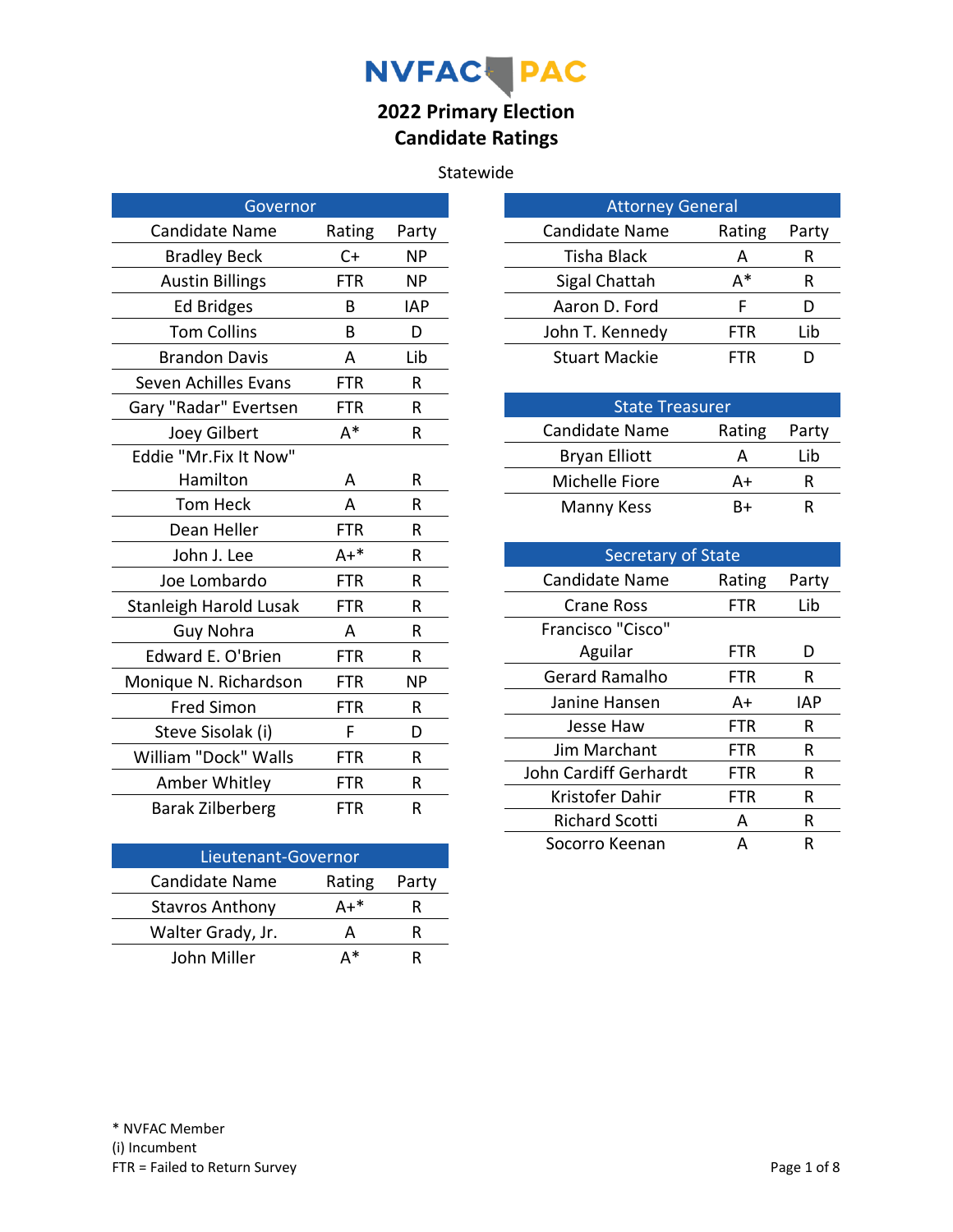# NVFAC PAC

## **2022 Primary Election Candidate Ratings**

#### Statewide

| Governor                    |            |            |
|-----------------------------|------------|------------|
| <b>Candidate Name</b>       | Rating     | Party      |
| <b>Bradley Beck</b>         | $C+$       | ΝP         |
| <b>Austin Billings</b>      | <b>FTR</b> | <b>NP</b>  |
| <b>Ed Bridges</b>           | B          | <b>IAP</b> |
| <b>Tom Collins</b>          | B          | D          |
| <b>Brandon Davis</b>        | A          | Lib        |
| <b>Seven Achilles Evans</b> | FTR        | R          |
| Gary "Radar" Evertsen       | FTR        | R          |
| Joey Gilbert                | $A^*$      | R          |
| Eddie "Mr.Fix It Now"       |            |            |
| Hamilton                    | Α          | R          |
| Tom Heck                    | A          | R          |
| Dean Heller                 | <b>FTR</b> | R          |
| John J. Lee                 | $A+*$      | R          |
| Joe Lombardo                | <b>FTR</b> | R          |
| Stanleigh Harold Lusak      | <b>FTR</b> | R          |
| Guy Nohra                   | A          | R          |
| Edward E. O'Brien           | <b>FTR</b> | R          |
| Monique N. Richardson       | <b>FTR</b> | ΝP         |
| <b>Fred Simon</b>           | <b>FTR</b> | R          |
| Steve Sisolak (i)           | F          | D          |
| William "Dock" Walls        | <b>FTR</b> | R          |
| Amber Whitley               | <b>FTR</b> | R          |
| <b>Barak Zilberberg</b>     | <b>FTR</b> | R          |

| Lieutenant-Governor    |        |       |
|------------------------|--------|-------|
| <b>Candidate Name</b>  | Rating | Party |
| <b>Stavros Anthony</b> | Δ+*    | ĸ     |
| Walter Grady, Jr.      |        | ĸ     |
| John Miller            | ∆*     | ĸ     |

| <b>Attorney General</b> |        |       |
|-------------------------|--------|-------|
| Candidate Name          | Rating | Party |
| <b>Tisha Black</b>      | А      | R     |
| Sigal Chattah           | д*     | R     |
| Aaron D. Ford           | F      |       |
| John T. Kennedy         | FTR    | Lib   |
| <b>Stuart Mackie</b>    | FTR    |       |

| <b>State Treasurer</b> |        |       |
|------------------------|--------|-------|
| Candidate Name         | Rating | Party |
| <b>Bryan Elliott</b>   |        | Lib   |
| Michelle Fiore         | A+     |       |
| Manny Kess             | R+     |       |

| <b>Secretary of State</b> |            |       |
|---------------------------|------------|-------|
| <b>Candidate Name</b>     | Rating     | Party |
| <b>Crane Ross</b>         | FTR        | Lib   |
| Francisco "Cisco"         |            |       |
| Aguilar                   | FTR        | D     |
| <b>Gerard Ramalho</b>     | FTR        | R     |
| Janine Hansen             | A+         | IAP   |
| Jesse Haw                 | <b>FTR</b> | R     |
| Jim Marchant              | FTR        | R     |
| John Cardiff Gerhardt     | FTR        | R     |
| Kristofer Dahir           | FTR        | R     |
| <b>Richard Scotti</b>     | А          | R     |
| Socorro Keenan            | А          | R     |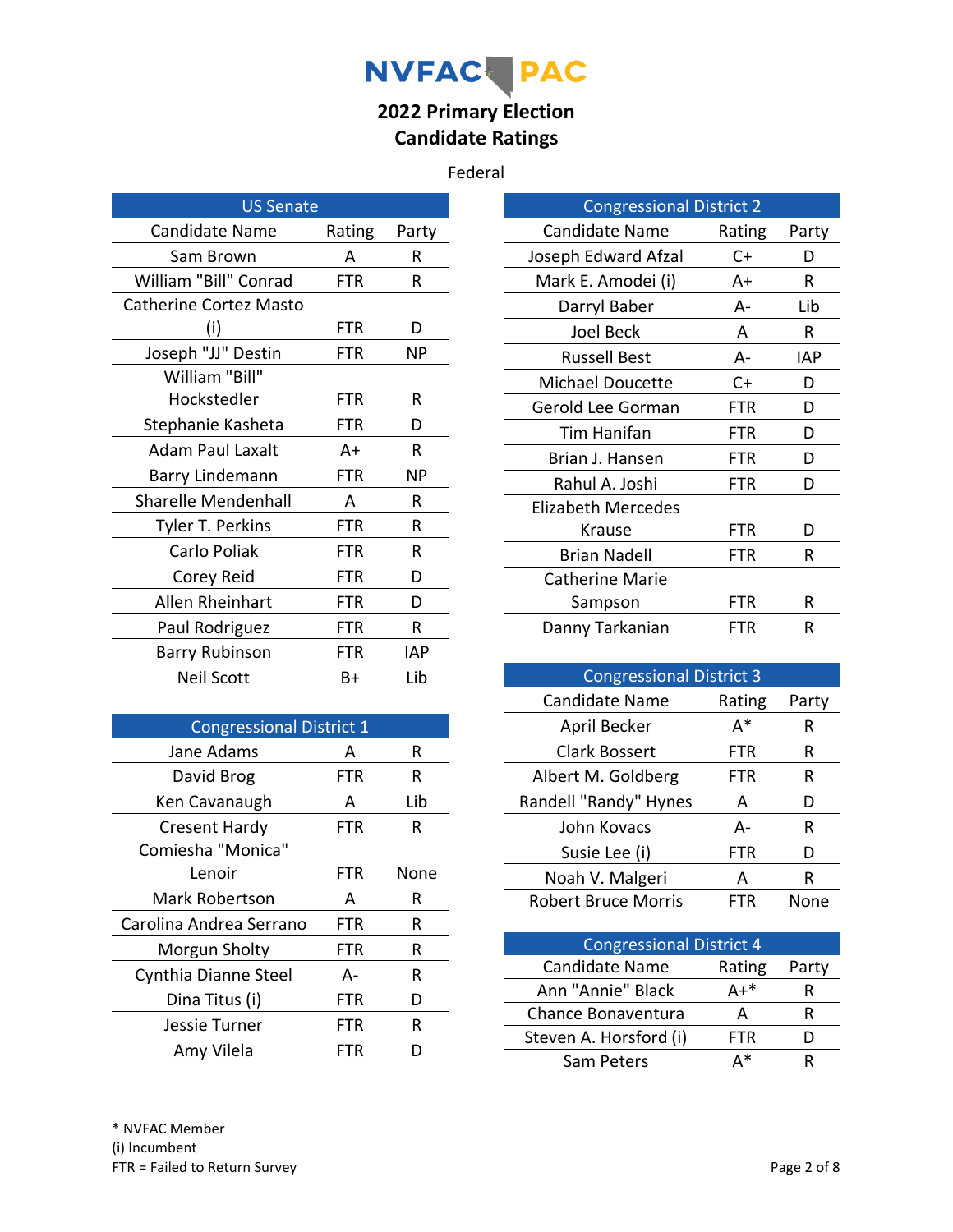# NVFAC- PAC

## **2022 Primary Election Candidate Ratings**

#### Federal

| <b>US Senate</b>              |            |       |
|-------------------------------|------------|-------|
| <b>Candidate Name</b>         | Rating     | Party |
| Sam Brown                     | А          | R     |
| William "Bill" Conrad         | FTR        | R     |
| <b>Catherine Cortez Masto</b> |            |       |
| (i)                           | FTR        | D     |
| Joseph "JJ" Destin            | FTR        | ΝP    |
| William "Bill"                |            |       |
| Hockstedler                   | FTR        | R     |
| Stephanie Kasheta             | FTR        | D     |
| Adam Paul Laxalt              | A+         | R     |
| Barry Lindemann               | <b>FTR</b> | ΝP    |
| <b>Sharelle Mendenhall</b>    | А          | R     |
| Tyler T. Perkins              | FTR        | R     |
| Carlo Poliak                  | FTR        | R     |
| Corey Reid                    | <b>FTR</b> | D     |
| Allen Rheinhart               | FTR        | D     |
| Paul Rodriguez                | FTR        | R     |
| <b>Barry Rubinson</b>         | FTR        | IAP   |
| <b>Neil Scott</b>             | B+         | Lib   |

| <b>Congressional District 1</b> |     |      |
|---------------------------------|-----|------|
| Jane Adams                      | А   | R    |
| David Brog                      | FTR | R    |
| Ken Cavanaugh                   | А   | Lib  |
| <b>Cresent Hardy</b>            | FTR | R    |
| Comiesha "Monica"               |     |      |
| Lenoir                          | FTR | None |
| Mark Robertson                  | А   | R    |
| Carolina Andrea Serrano         | FTR | R    |
| Morgun Sholty                   | FTR | R    |
| Cynthia Dianne Steel            | А-  | R    |
| Dina Titus (i)                  | FTR | D    |
| Jessie Turner                   | FTR | R    |
| Amy Vilela                      | FTR |      |

| <b>Congressional District 2</b> |        |       |
|---------------------------------|--------|-------|
| <b>Candidate Name</b>           | Rating | Party |
| Joseph Edward Afzal             | C+     | D     |
| Mark E. Amodei (i)              | A+     | R     |
| Darryl Baber                    | А-     | Lib   |
| Joel Beck                       | A      | R     |
| <b>Russell Best</b>             | А-     | IAP   |
| <b>Michael Doucette</b>         | $C+$   | D     |
| Gerold Lee Gorman               | FTR    | D     |
| Tim Hanifan                     | FTR    | D     |
| Brian J. Hansen                 | FTR    | D     |
| Rahul A. Joshi                  | FTR    | D     |
| Elizabeth Mercedes              |        |       |
| Krause                          | FTR    | D     |
| Brian Nadell                    | FTR    | R     |
| Catherine Marie                 |        |       |
| Sampson                         | FTR    | R     |
| Danny Tarkanian                 | FTR    | R     |

| <b>Congressional District 3</b> |        |       |
|---------------------------------|--------|-------|
| <b>Candidate Name</b>           | Rating | Party |
| April Becker                    | A*     | R     |
| Clark Bossert                   | FTR    | R     |
| Albert M. Goldberg              | FTR    | R     |
| Randell "Randy" Hynes           | A      | I)    |
| John Kovacs                     | А-     | R     |
| Susie Lee (i)                   | FTR    | D     |
| Noah V. Malgeri                 | А      | R     |
| <b>Robert Bruce Morris</b>      | FTR    | None  |

| <b>Congressional District 4</b> |            |       |
|---------------------------------|------------|-------|
| Candidate Name                  | Rating     | Party |
| Ann "Annie" Black               | Δ+*        | к     |
| Chance Bonaventura              | А          |       |
| Steven A. Horsford (i)          | <b>FTR</b> |       |
| Sam Peters                      | ∆*         |       |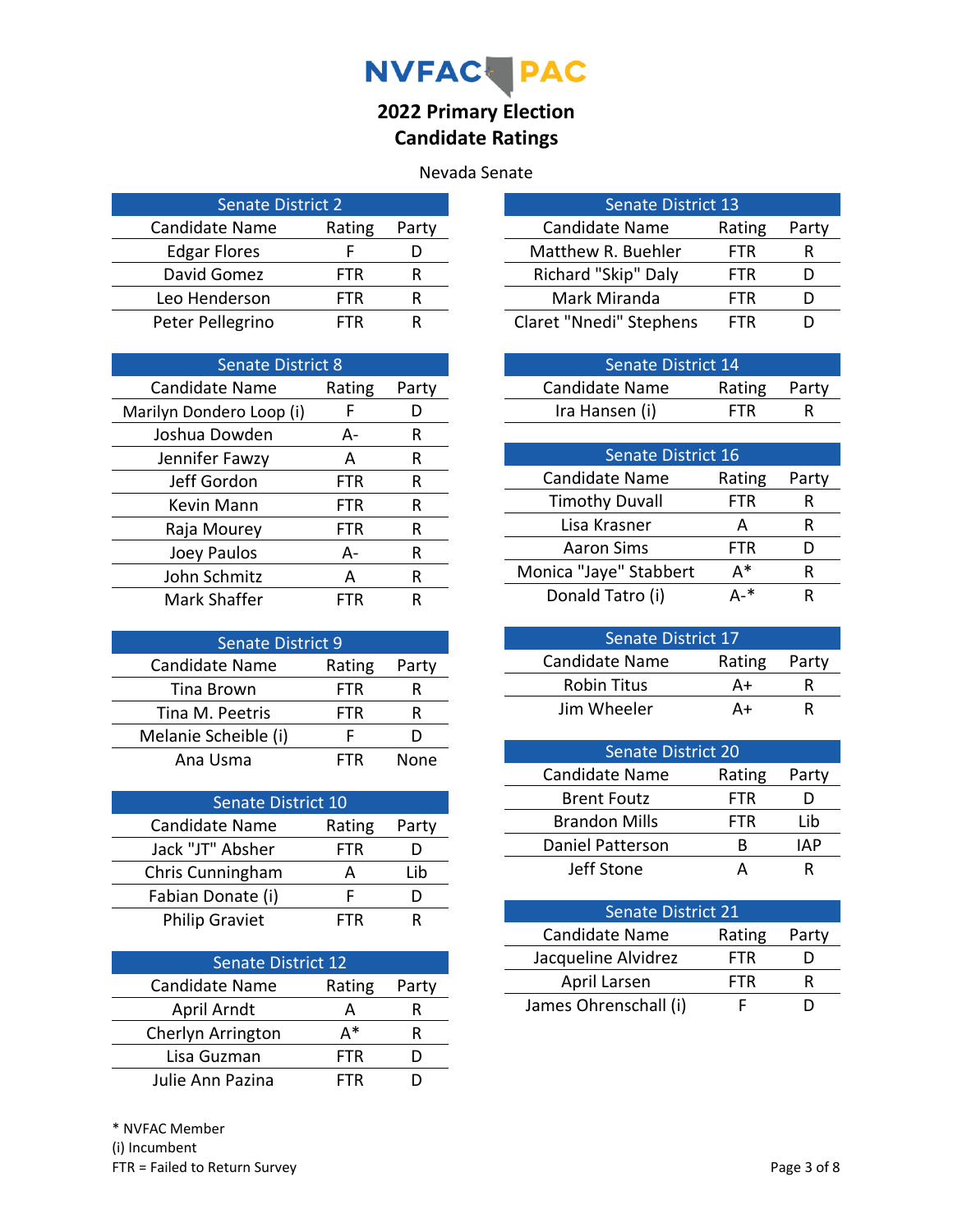

#### Nevada Senate

| <b>Senate District 2</b> |        |       |
|--------------------------|--------|-------|
| <b>Candidate Name</b>    | Rating | Party |
| <b>Edgar Flores</b>      |        |       |
| David Gomez              | FTR    |       |
| Leo Henderson            | FTR    | ĸ     |
| Peter Pellegrino         | FTR    |       |

| <b>Senate District 8</b> |        |       |
|--------------------------|--------|-------|
| <b>Candidate Name</b>    | Rating | Party |
| Marilyn Dondero Loop (i) | F      |       |
| Joshua Dowden            | А-     | R     |
| Jennifer Fawzy           | A      | R     |
| Jeff Gordon              | FTR    | R     |
| Kevin Mann               | FTR    | R     |
| Raja Mourey              | FTR    | R     |
| Joey Paulos              | А-     | R     |
| John Schmitz             | A      | R     |
| Mark Shaffer             | FTR    |       |

| <b>Senate District 9</b> |            |       |
|--------------------------|------------|-------|
| <b>Candidate Name</b>    | Rating     | Party |
| Tina Brown               | <b>FTR</b> |       |
| Tina M. Peetris          | FTR        | ĸ     |
| Melanie Scheible (i)     |            |       |
| Ana Usma                 | FTR        | None  |

| Senate District 10    |            |       |
|-----------------------|------------|-------|
| <b>Candidate Name</b> | Rating     | Party |
| Jack "JT" Absher      | <b>FTR</b> |       |
| Chris Cunningham      | A          | Lib   |
| Fabian Donate (i)     |            |       |
| <b>Philip Graviet</b> | ⊢∣R        |       |

| <b>Senate District 12</b> |        |       |
|---------------------------|--------|-------|
| <b>Candidate Name</b>     | Rating | Party |
| April Arndt               | А      |       |
| Cherlyn Arrington         | Δ*     |       |
| Lisa Guzman               | FTR    |       |
| Julie Ann Pazina          | FTR    |       |

| <b>Senate District 13</b> |            |       |
|---------------------------|------------|-------|
| Candidate Name            | Rating     | Party |
| Matthew R. Buehler        | <b>FTR</b> | R     |
| Richard "Skip" Daly       | FTR        |       |
| Mark Miranda              | FTR        |       |
| Claret "Nnedi" Stephens   | FTR        |       |

| Senate District 14 |              |   |
|--------------------|--------------|---|
| Candidate Name     | Rating Party |   |
| Ira Hansen (i)     | <b>FTR</b>   | R |

| <b>Senate District 16</b> |            |       |
|---------------------------|------------|-------|
| <b>Candidate Name</b>     | Rating     | Party |
| <b>Timothy Duvall</b>     | FTR        | R     |
| Lisa Krasner              | А          | R     |
| <b>Aaron Sims</b>         | <b>FTR</b> | נ ו   |
| Monica "Jaye" Stabbert    | д*         | R     |
| Donald Tatro (i)          | ∆_*        | R     |

| <b>Senate District 17</b> |              |   |
|---------------------------|--------------|---|
| Candidate Name            | Rating Party |   |
| <b>Robin Titus</b>        | A+           | ĸ |
| Jim Wheeler               | А+           | ĸ |

| <b>Senate District 20</b> |            |       |
|---------------------------|------------|-------|
| <b>Candidate Name</b>     | Rating     | Party |
| <b>Brent Foutz</b>        | FTR        |       |
| <b>Brandon Mills</b>      | <b>FTR</b> | Lib   |
| Daniel Patterson          | к          | IAP   |
| Jeff Stone                |            | ĸ     |

| <b>Senate District 21</b> |            |       |
|---------------------------|------------|-------|
| Candidate Name            | Rating     | Party |
| Jacqueline Alvidrez       | <b>FTR</b> |       |
| April Larsen              | <b>FTR</b> |       |
| James Ohrenschall (i)     |            |       |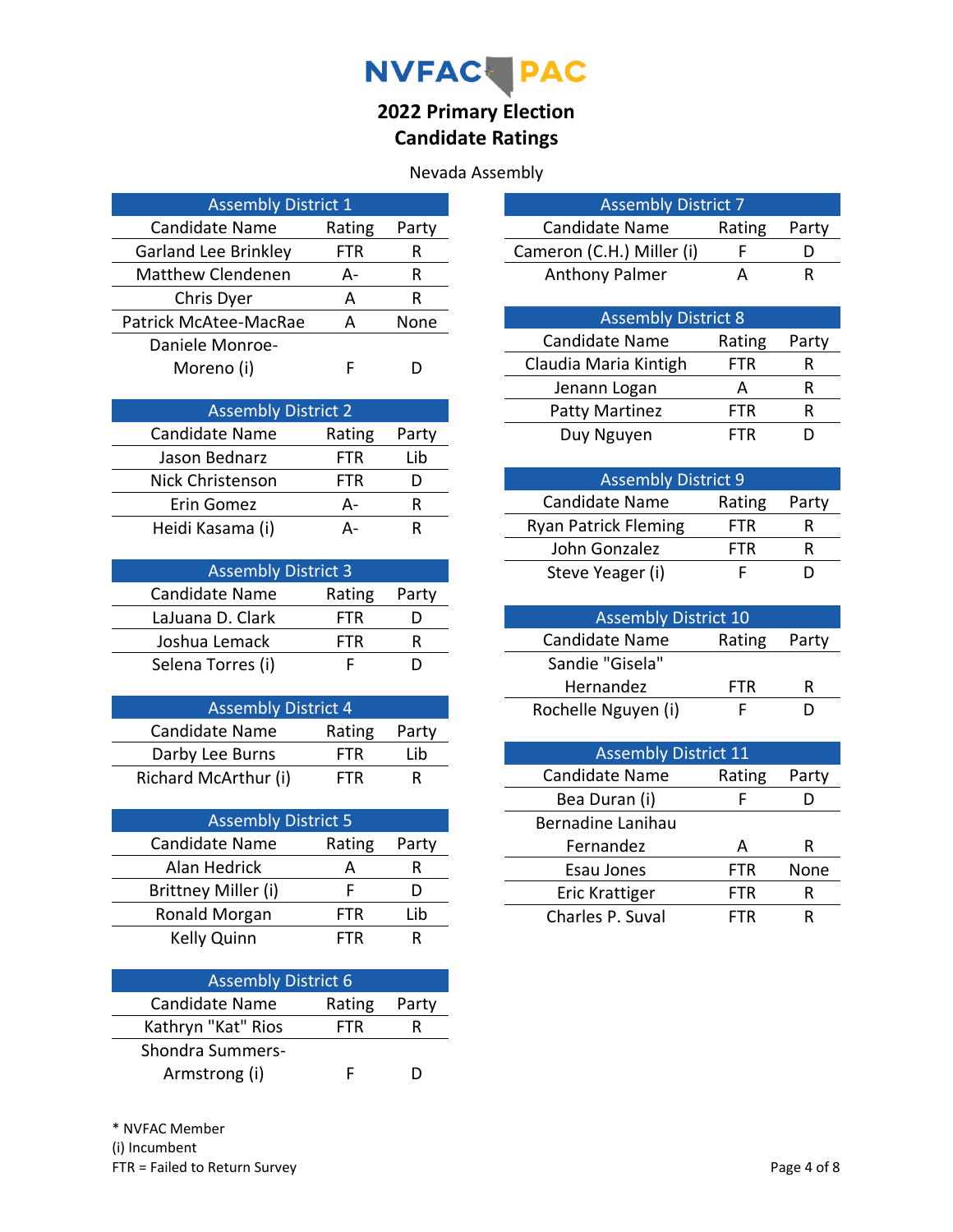

| <b>Assembly District 1</b>  |        |       |
|-----------------------------|--------|-------|
| <b>Candidate Name</b>       | Rating | Party |
| <b>Garland Lee Brinkley</b> | FTR    | R     |
| <b>Matthew Clendenen</b>    | А-     | R     |
| Chris Dyer                  | А      | R     |
| Patrick McAtee-MacRae       | Д      | None  |
| Daniele Monroe-             |        |       |
| Moreno (i)                  |        |       |

| <b>Assembly District 2</b> |        |       |
|----------------------------|--------|-------|
| Candidate Name             | Rating | Party |
| Jason Bednarz              | FTR    | Lib   |
| Nick Christenson           | FTR    |       |
| Erin Gomez                 | Д-     | ĸ     |
| Heidi Kasama (i)           |        |       |

| <b>Assembly District 3</b> |            |       |
|----------------------------|------------|-------|
| <b>Candidate Name</b>      | Rating     | Party |
| LaJuana D. Clark           | <b>FTR</b> |       |
| Joshua Lemack              | <b>FTR</b> | ĸ     |
| Selena Torres (i)          |            |       |

| <b>Assembly District 4</b> |            |       |
|----------------------------|------------|-------|
| Candidate Name             | Rating     | Party |
| Darby Lee Burns            | <b>FTR</b> | l ib  |
| Richard McArthur (i)       | <b>FTR</b> | R     |

| <b>Assembly District 5</b> |        |       |
|----------------------------|--------|-------|
| <b>Candidate Name</b>      | Rating | Party |
| Alan Hedrick               | А      | к     |
| Brittney Miller (i)        | F      |       |
| Ronald Morgan              | FTR    | Lib   |
| Kelly Quinn                | FTR    |       |

| <b>Assembly District 6</b> |        |       |
|----------------------------|--------|-------|
| Candidate Name             | Rating | Party |
| Kathryn "Kat" Rios         | FTR.   |       |
| <b>Shondra Summers-</b>    |        |       |
| Armstrong (i)              |        |       |

| <b>Assembly District 7</b> |        |       |
|----------------------------|--------|-------|
| <b>Candidate Name</b>      | Rating | Party |
| Cameron (C.H.) Miller (i)  |        |       |
| <b>Anthony Palmer</b>      |        |       |

| <b>Assembly District 8</b> |            |       |
|----------------------------|------------|-------|
| <b>Candidate Name</b>      | Rating     | Party |
| Claudia Maria Kintigh      | <b>FTR</b> | R     |
| Jenann Logan               | А          |       |
| <b>Patty Martinez</b>      | FTR.       |       |
| Duy Nguyen                 | FTR        |       |

| <b>Assembly District 9</b>  |            |       |
|-----------------------------|------------|-------|
| <b>Candidate Name</b>       | Rating     | Party |
| <b>Ryan Patrick Fleming</b> | <b>FTR</b> | ĸ     |
| John Gonzalez               | <b>FTR</b> | R     |
| Steve Yeager (i)            |            |       |

| <b>Assembly District 10</b> |            |       |
|-----------------------------|------------|-------|
| Candidate Name              | Rating     | Party |
| Sandie "Gisela"             |            |       |
| Hernandez                   | <b>FTR</b> | R     |
| Rochelle Nguyen (i)         |            |       |

| <b>Assembly District 11</b> |            |       |
|-----------------------------|------------|-------|
| Candidate Name              | Rating     | Party |
| Bea Duran (i)               | E          |       |
| Bernadine Lanihau           |            |       |
|                             |            |       |
| Fernandez                   | А          | R     |
| Esau Jones                  | <b>FTR</b> | None  |
| Eric Krattiger              | FTR        | R     |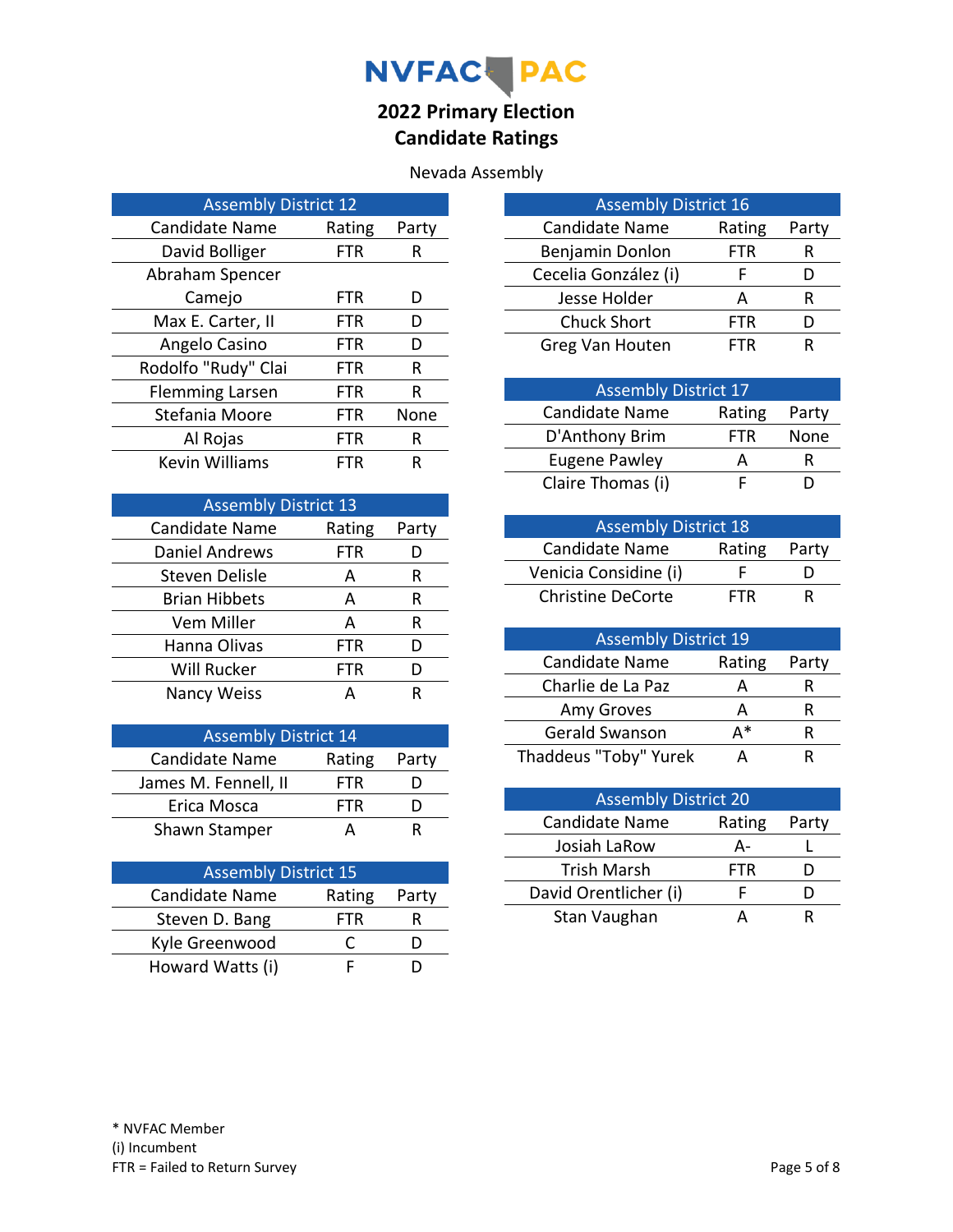

| <b>Assembly District 12</b> |            |       |
|-----------------------------|------------|-------|
| Candidate Name              | Rating     | Party |
| David Bolliger              | FTR        | R     |
| Abraham Spencer             |            |       |
| Camejo                      | <b>FTR</b> | D     |
| Max E. Carter, II           | FTR        | D     |
| Angelo Casino               | FTR        | D     |
| Rodolfo "Rudy" Clai         | FTR        | R     |
| <b>Flemming Larsen</b>      | FTR        | R     |
| Stefania Moore              | FTR        | None  |
| Al Rojas                    | FTR        | R     |
| <b>Kevin Williams</b>       | FTR        | R     |

| <b>Assembly District 13</b> |            |       |
|-----------------------------|------------|-------|
| <b>Candidate Name</b>       | Rating     | Party |
| Daniel Andrews              | <b>FTR</b> |       |
| Steven Delisle              | A          | R     |
| <b>Brian Hibbets</b>        | A          | R     |
| Vem Miller                  | A          | R     |
| Hanna Olivas                | FTR        |       |
| Will Rucker                 | FTR        |       |
| Nancy Weiss                 | Δ          |       |

| <b>Assembly District 14</b> |        |       |
|-----------------------------|--------|-------|
| Candidate Name              | Rating | Party |
| James M. Fennell, II        | FTR.   |       |
| Erica Mosca                 | FTR    |       |
| Shawn Stamper               |        |       |

| <b>Assembly District 15</b> |        |       |
|-----------------------------|--------|-------|
| Candidate Name              | Rating | Party |
| Steven D. Bang              | FTR    |       |
| Kyle Greenwood              |        |       |
| Howard Watts (i)            |        |       |

| <b>Assembly District 16</b> |        |       |
|-----------------------------|--------|-------|
| <b>Candidate Name</b>       | Rating | Party |
| Benjamin Donlon             | FTR    | R     |
| Cecelia González (i)        | F      |       |
| Jesse Holder                | А      |       |
| <b>Chuck Short</b>          | FTR    |       |
| Greg Van Houten             | FTR    |       |

| <b>Assembly District 17</b> |        |       |
|-----------------------------|--------|-------|
| Candidate Name              | Rating | Party |
| D'Anthony Brim              | FTR.   | None  |
| <b>Eugene Pawley</b>        |        |       |
| Claire Thomas (i)           |        |       |

| <b>Assembly District 18</b> |            |       |
|-----------------------------|------------|-------|
| Candidate Name              | Rating     | Party |
| Venicia Considine (i)       |            | ו ו   |
| <b>Christine DeCorte</b>    | <b>FTR</b> | R     |

| <b>Assembly District 19</b> |        |       |
|-----------------------------|--------|-------|
| Candidate Name              | Rating | Party |
| Charlie de La Paz           | Д      |       |
| Amy Groves                  | А      |       |
| Gerald Swanson              | д*     | ĸ     |
| Thaddeus "Toby" Yurek       |        |       |

| <b>Assembly District 20</b> |        |       |
|-----------------------------|--------|-------|
| Candidate Name              | Rating | Party |
| Josiah LaRow                | А-     |       |
| Trish Marsh                 | FTR    |       |
| David Orentlicher (i)       |        |       |
| Stan Vaughan                |        |       |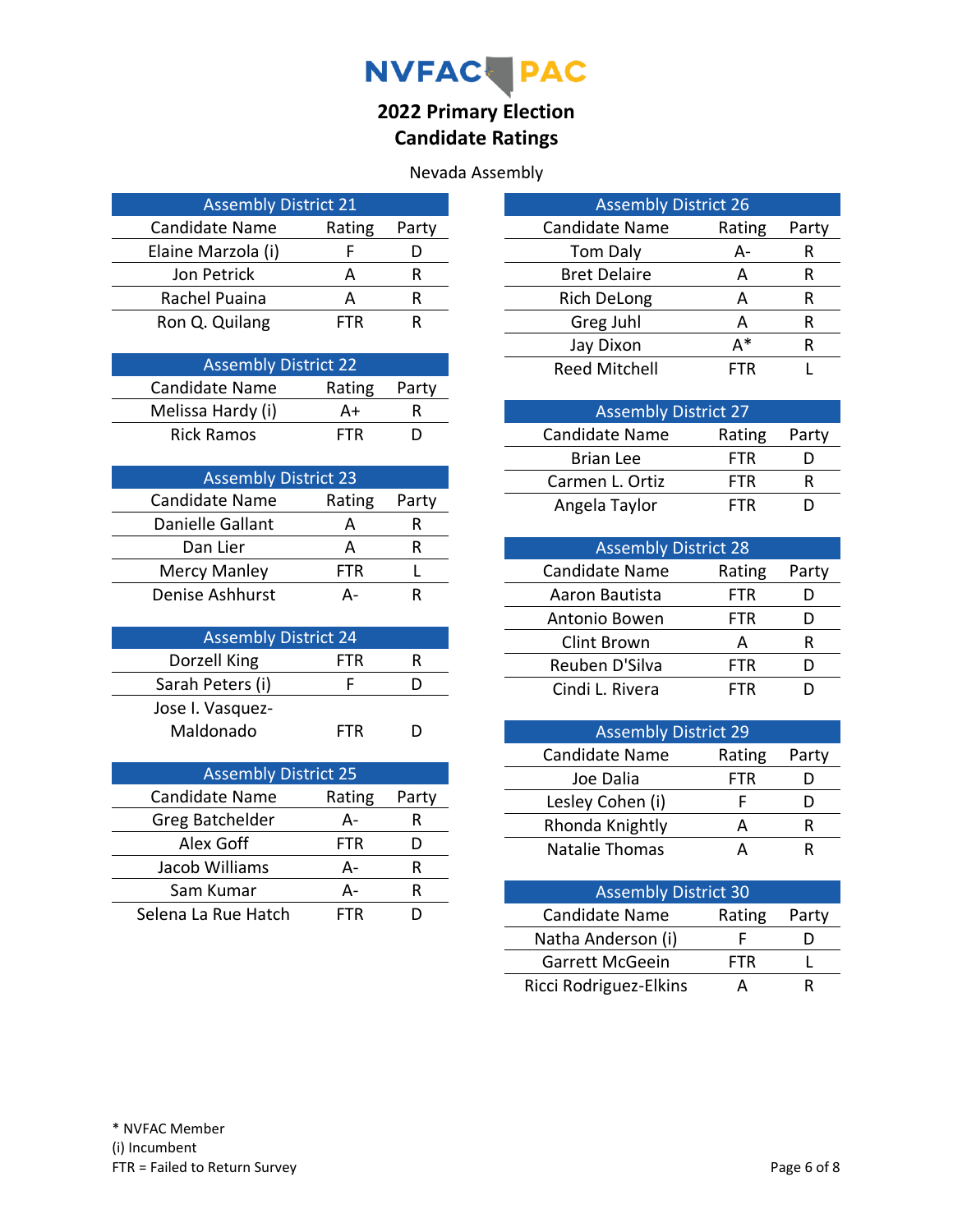

| <b>Assembly District 21</b> |        |       |
|-----------------------------|--------|-------|
| <b>Candidate Name</b>       | Rating | Party |
| Elaine Marzola (i)          |        |       |
| Jon Petrick                 | А      | R     |
| Rachel Puaina               | А      |       |
| Ron Q. Quilang              | -TR.   |       |

| <b>Assembly District 22</b> |            |       |
|-----------------------------|------------|-------|
| Candidate Name              | Rating     | Party |
| Melissa Hardy (i)           | A+         | R     |
| <b>Rick Ramos</b>           | <b>FTR</b> | נו    |

| <b>Assembly District 23</b> |        |       |
|-----------------------------|--------|-------|
| <b>Candidate Name</b>       | Rating | Party |
| Danielle Gallant            |        |       |
| Dan Lier                    | А      | ĸ     |
| <b>Mercy Manley</b>         | FTR    |       |
| Denise Ashhurst             |        |       |

| <b>Assembly District 24</b> |     |   |
|-----------------------------|-----|---|
| Dorzell King                | FTR | ĸ |
| Sarah Peters (i)            |     |   |
| Jose I. Vasquez-            |     |   |
| Maldonado                   | FTR |   |

| <b>Assembly District 25</b> |        |       |
|-----------------------------|--------|-------|
| Candidate Name              | Rating | Party |
| Greg Batchelder             | А-     | R     |
| Alex Goff                   | FTR    |       |
| Jacob Williams              | А-     | R     |
| Sam Kumar                   | Д-     | R     |
| Selena La Rue Hatch         | -TR    |       |

| <b>Assembly District 26</b> |        |       |
|-----------------------------|--------|-------|
| <b>Candidate Name</b>       | Rating | Party |
| <b>Tom Daly</b>             | А-     | R     |
| <b>Bret Delaire</b>         | А      | R     |
| <b>Rich DeLong</b>          | А      | R     |
| Greg Juhl                   | А      | R     |
| Jay Dixon                   | д*     | R     |
| <b>Reed Mitchell</b>        | ΤR     |       |

| <b>Assembly District 27</b> |            |       |
|-----------------------------|------------|-------|
| Candidate Name              | Rating     | Party |
| <b>Brian Lee</b>            | FTR        |       |
| Carmen L. Ortiz             | <b>FTR</b> |       |
| Angela Taylor               | FTR        |       |

| <b>Assembly District 28</b> |            |       |  |  |
|-----------------------------|------------|-------|--|--|
| Candidate Name              | Rating     | Party |  |  |
| Aaron Bautista              | <b>FTR</b> |       |  |  |
| Antonio Bowen               | <b>FTR</b> |       |  |  |
| <b>Clint Brown</b>          | А          | ĸ     |  |  |
| Reuben D'Silva              | FTR        |       |  |  |
| Cindi L. Rivera             | FTR        |       |  |  |

| <b>Assembly District 29</b> |            |       |  |
|-----------------------------|------------|-------|--|
| <b>Candidate Name</b>       | Rating     | Party |  |
| Joe Dalia                   | <b>FTR</b> |       |  |
| Lesley Cohen (i)            |            |       |  |
| Rhonda Knightly             |            | ĸ     |  |
| Natalie Thomas              |            |       |  |

| <b>Assembly District 30</b> |            |       |  |  |
|-----------------------------|------------|-------|--|--|
| Candidate Name              | Rating     | Party |  |  |
| Natha Anderson (i)          |            |       |  |  |
| Garrett McGeein             | <b>FTR</b> |       |  |  |
| Ricci Rodriguez-Elkins      |            |       |  |  |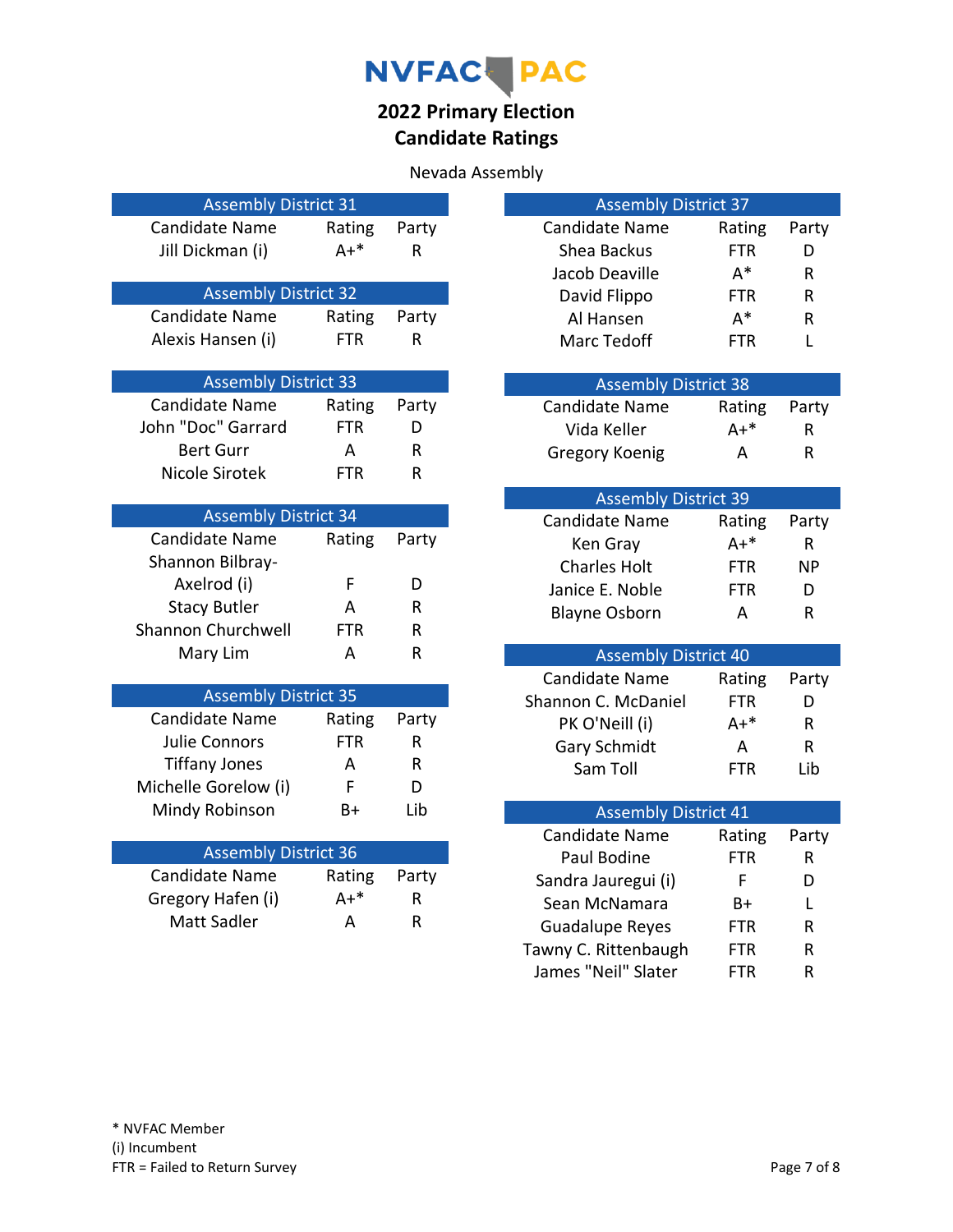# NVFAC PAC

## **2022 Primary Election Candidate Ratings**

| <b>Assembly District 31</b>                          |                      |              | <b>Assembly District 37</b>              |              |
|------------------------------------------------------|----------------------|--------------|------------------------------------------|--------------|
| <b>Candidate Name</b>                                | Rating               | Party        | <b>Candidate Name</b><br>Rating          | Party        |
| Jill Dickman (i)                                     | $A+*$                | $\mathsf{R}$ | Shea Backus<br><b>FTR</b>                | D            |
|                                                      |                      |              | $A^*$<br>Jacob Deaville                  | $\mathsf{R}$ |
| <b>Assembly District 32</b>                          |                      |              | David Flippo<br>FTR                      | R            |
| <b>Candidate Name</b>                                | Rating               | Party        | $A^*$<br>Al Hansen                       | R            |
| Alexis Hansen (i)                                    | <b>FTR</b>           | $\mathsf R$  | <b>Marc Tedoff</b><br><b>FTR</b>         | L            |
|                                                      |                      |              |                                          |              |
| <b>Assembly District 33</b><br><b>Candidate Name</b> |                      |              | <b>Assembly District 38</b>              |              |
| John "Doc" Garrard                                   | Rating<br><b>FTR</b> | Party        | <b>Candidate Name</b><br>Rating          | Party        |
|                                                      |                      | D            | Vida Keller<br>$A+*$                     | $\mathsf{R}$ |
| <b>Bert Gurr</b>                                     | A                    | ${\sf R}$    | Gregory Koenig<br>A                      | $\mathsf{R}$ |
| Nicole Sirotek                                       | <b>FTR</b>           | $\mathsf{R}$ |                                          |              |
| <b>Assembly District 34</b>                          |                      |              | <b>Assembly District 39</b>              |              |
| <b>Candidate Name</b>                                | Rating               | Party        | <b>Candidate Name</b><br>Rating<br>$A+*$ | Party        |
| Shannon Bilbray-                                     |                      |              | Ken Gray                                 | $\mathsf{R}$ |
| Axelrod (i)                                          | F                    | D            | <b>Charles Holt</b><br><b>FTR</b>        | <b>NP</b>    |
| <b>Stacy Butler</b>                                  | A                    | R            | Janice E. Noble<br><b>FTR</b>            | D            |
| Shannon Churchwell                                   | <b>FTR</b>           | ${\sf R}$    | <b>Blayne Osborn</b><br>A                | R            |
| Mary Lim                                             | A                    | R            | <b>Assembly District 40</b>              |              |
|                                                      |                      |              | <b>Candidate Name</b><br>Rating          | Party        |
| <b>Assembly District 35</b>                          |                      |              | Shannon C. McDaniel<br><b>FTR</b>        | D            |
| <b>Candidate Name</b>                                | Rating               | Party        | $A+*$<br>PK O'Neill (i)                  | R.           |
| <b>Julie Connors</b>                                 | <b>FTR</b>           | R            | <b>Gary Schmidt</b><br>A                 | R.           |
| <b>Tiffany Jones</b>                                 | A                    | R            | Sam Toll<br><b>FTR</b>                   | Lib          |
| Michelle Gorelow (i)                                 | F                    | D            |                                          |              |
| Mindy Robinson                                       | B+                   | Lib          | <b>Assembly District 41</b>              |              |
|                                                      |                      |              | <b>Candidate Name</b><br>Rating          | Party        |
| <b>Assembly District 36</b>                          |                      |              | Paul Bodine<br><b>FTR</b>                | R            |
| Candidate Name                                       | Rating               | Party        | F.<br>Sandra Jauregui (i)                | D            |
| Gregory Hafen (i)                                    | $A+*$                | R            | Sean McNamara<br>B+                      | L            |
| <b>Matt Sadler</b>                                   | A                    | $\mathsf{R}$ | Guadalupe Reyes<br><b>FTR</b>            | $\mathsf{R}$ |
|                                                      |                      |              | Tawny C. Rittenbaugh<br><b>FTR</b>       | R            |
|                                                      |                      |              | James "Neil" Slater<br><b>FTR</b>        | $\mathsf{R}$ |
|                                                      |                      |              |                                          |              |